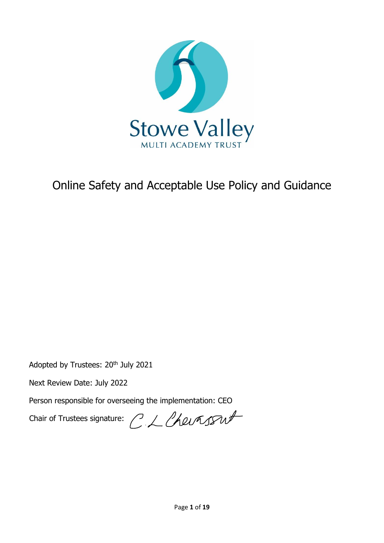

# Online Safety and Acceptable Use Policy and Guidance

Adopted by Trustees: 20<sup>th</sup> July 2021

Next Review Date: July 2022

Person responsible for overseeing the implementation: CEO

Chair of Trustees signature:  $C \mathcal{L}$  Chevassut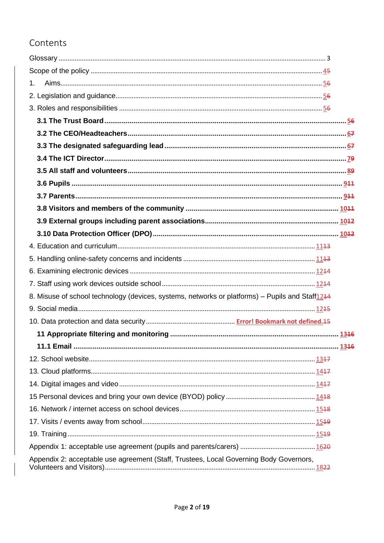# Contents

| 1.                                                                                                          |  |
|-------------------------------------------------------------------------------------------------------------|--|
|                                                                                                             |  |
|                                                                                                             |  |
|                                                                                                             |  |
|                                                                                                             |  |
|                                                                                                             |  |
|                                                                                                             |  |
|                                                                                                             |  |
|                                                                                                             |  |
|                                                                                                             |  |
|                                                                                                             |  |
|                                                                                                             |  |
|                                                                                                             |  |
|                                                                                                             |  |
|                                                                                                             |  |
|                                                                                                             |  |
|                                                                                                             |  |
| 8. Misuse of school technology (devices, systems, networks or platforms) – Pupils and Staff <sup>1244</sup> |  |
|                                                                                                             |  |
|                                                                                                             |  |
|                                                                                                             |  |
|                                                                                                             |  |
|                                                                                                             |  |
|                                                                                                             |  |
|                                                                                                             |  |
|                                                                                                             |  |
|                                                                                                             |  |
|                                                                                                             |  |
|                                                                                                             |  |
|                                                                                                             |  |
| Appendix 2: acceptable use agreement (Staff, Trustees, Local Governing Body Governors,                      |  |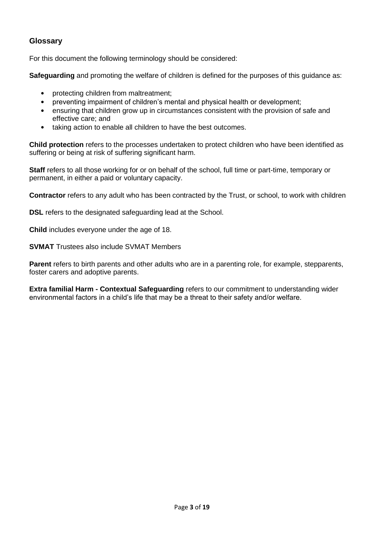# <span id="page-2-0"></span>**Glossary**

For this document the following terminology should be considered:

**Safeguarding** and promoting the welfare of children is defined for the purposes of this guidance as:

- protecting children from maltreatment;
- preventing impairment of children's mental and physical health or development;
- ensuring that children grow up in circumstances consistent with the provision of safe and effective care; and
- taking action to enable all children to have the best outcomes.

**Child protection** refers to the processes undertaken to protect children who have been identified as suffering or being at risk of suffering significant harm.

**Staff** refers to all those working for or on behalf of the school, full time or part-time, temporary or permanent, in either a paid or voluntary capacity.

**Contractor** refers to any adult who has been contracted by the Trust, or school, to work with children

**DSL** refers to the designated safeguarding lead at the School.

**Child** includes everyone under the age of 18.

**SVMAT** Trustees also include SVMAT Members

**Parent** refers to birth parents and other adults who are in a parenting role, for example, stepparents, foster carers and adoptive parents.

**Extra familial Harm - Contextual Safeguarding** refers to our commitment to understanding wider environmental factors in a child's life that may be a threat to their safety and/or welfare.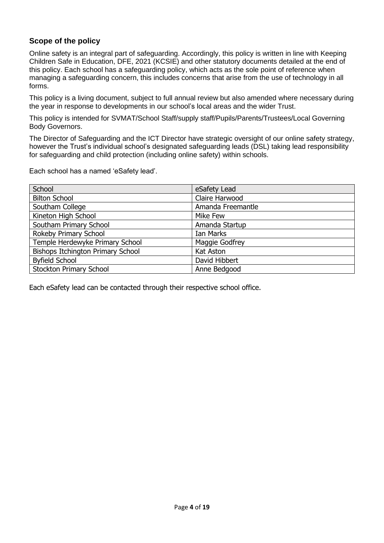# <span id="page-3-0"></span>**Scope of the policy**

Online safety is an integral part of safeguarding. Accordingly, this policy is written in line with Keeping Children Safe in Education, DFE, 2021 (KCSIE) and other statutory documents detailed at the end of this policy. Each school has a safeguarding policy, which acts as the sole point of reference when managing a safeguarding concern, this includes concerns that arise from the use of technology in all forms.

This policy is a living document, subject to full annual review but also amended where necessary during the year in response to developments in our school's local areas and the wider Trust.

This policy is intended for SVMAT/School Staff/supply staff/Pupils/Parents/Trustees/Local Governing Body Governors.

The Director of Safeguarding and the ICT Director have strategic oversight of our online safety strategy, however the Trust's individual school's designated safeguarding leads (DSL) taking lead responsibility for safeguarding and child protection (including online safety) within schools.

Each school has a named 'eSafety lead'.

| School                            | eSafety Lead      |
|-----------------------------------|-------------------|
| <b>Bilton School</b>              | Claire Harwood    |
| Southam College                   | Amanda Freemantle |
| Kineton High School               | Mike Few          |
| Southam Primary School            | Amanda Startup    |
| Rokeby Primary School             | <b>Ian Marks</b>  |
| Temple Herdewyke Primary School   | Maggie Godfrey    |
| Bishops Itchington Primary School | Kat Aston         |
| <b>Byfield School</b>             | David Hibbert     |
| <b>Stockton Primary School</b>    | Anne Bedgood      |

Each eSafety lead can be contacted through their respective school office.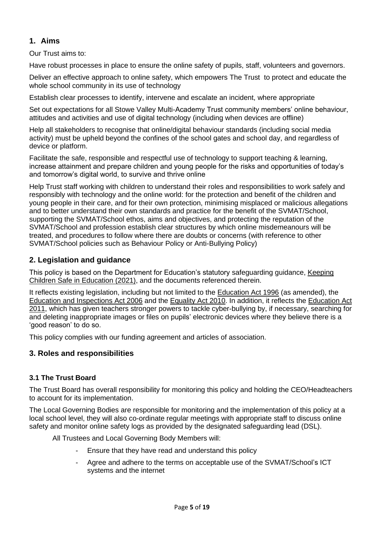# <span id="page-4-0"></span>**1. Aims**

Our Trust aims to:

Have robust processes in place to ensure the online safety of pupils, staff, volunteers and governors.

Deliver an effective approach to online safety, which empowers The Trust to protect and educate the whole school community in its use of technology

Establish clear processes to identify, intervene and escalate an incident, where appropriate

Set out expectations for all Stowe Valley Multi-Academy Trust community members' online behaviour, attitudes and activities and use of digital technology (including when devices are offline)

Help all stakeholders to recognise that online/digital behaviour standards (including social media activity) must be upheld beyond the confines of the school gates and school day, and regardless of device or platform.

Facilitate the safe, responsible and respectful use of technology to support teaching & learning, increase attainment and prepare children and young people for the risks and opportunities of today's and tomorrow's digital world, to survive and thrive online

Help Trust staff working with children to understand their roles and responsibilities to work safely and responsibly with technology and the online world: for the protection and benefit of the children and young people in their care, and for their own protection, minimising misplaced or malicious allegations and to better understand their own standards and practice for the benefit of the SVMAT/School, supporting the SVMAT/School ethos, aims and objectives, and protecting the reputation of the SVMAT/School and profession establish clear structures by which online misdemeanours will be treated, and procedures to follow where there are doubts or concerns (with reference to other SVMAT/School policies such as Behaviour Policy or Anti-Bullying Policy)

# <span id="page-4-1"></span>**2. Legislation and guidance**

This policy is based on the Department for Education's statutory safeguarding guidance, [Keeping](https://www.gov.uk/government/publications/keeping-children-safe-in-education--2)  [Children Safe in Education](https://www.gov.uk/government/publications/keeping-children-safe-in-education--2) (2021), and the documents referenced therein.

It reflects existing legislation, including but not limited to the [Education Act 1996](https://www.legislation.gov.uk/ukpga/1996/56/contents) (as amended), the [Education and Inspections Act 2006](https://www.legislation.gov.uk/ukpga/2006/40/contents) and the [Equality Act 2010.](https://www.legislation.gov.uk/ukpga/2010/15/contents) In addition, it reflects the [Education Act](http://www.legislation.gov.uk/ukpga/2011/21/contents/enacted)  [2011,](http://www.legislation.gov.uk/ukpga/2011/21/contents/enacted) which has given teachers stronger powers to tackle cyber-bullying by, if necessary, searching for and deleting inappropriate images or files on pupils' electronic devices where they believe there is a 'good reason' to do so.

This policy complies with our funding agreement and articles of association.

#### <span id="page-4-2"></span>**3. Roles and responsibilities**

#### <span id="page-4-3"></span>**3.1 The Trust Board**

The Trust Board has overall responsibility for monitoring this policy and holding the CEO/Headteachers to account for its implementation.

The Local Governing Bodies are responsible for monitoring and the implementation of this policy at a local school level, they will also co-ordinate regular meetings with appropriate staff to discuss online safety and monitor online safety logs as provided by the designated safeguarding lead (DSL).

All Trustees and Local Governing Body Members will:

- Ensure that they have read and understand this policy
- Agree and adhere to the terms on acceptable use of the SVMAT/School's ICT systems and the internet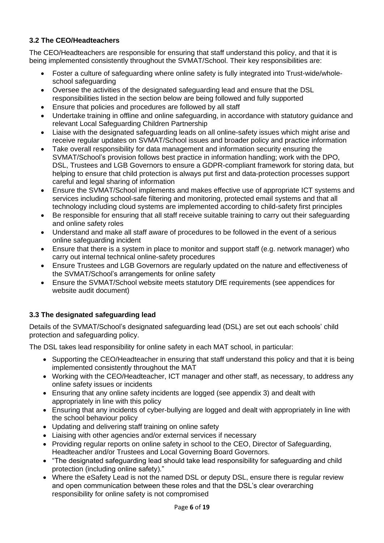# <span id="page-5-0"></span>**3.2 The CEO/Headteachers**

The CEO/Headteachers are responsible for ensuring that staff understand this policy, and that it is being implemented consistently throughout the SVMAT/School. Their key responsibilities are:

- Foster a culture of safeguarding where online safety is fully integrated into Trust-wide/wholeschool safeguarding
- Oversee the activities of the designated safeguarding lead and ensure that the DSL responsibilities listed in the section below are being followed and fully supported
- Ensure that policies and procedures are followed by all staff
- Undertake training in offline and online safeguarding, in accordance with statutory guidance and relevant Local Safeguarding Children Partnership
- Liaise with the designated safeguarding leads on all online-safety issues which might arise and receive regular updates on SVMAT/School issues and broader policy and practice information
- Take overall responsibility for data management and information security ensuring the SVMAT/School's provision follows best practice in information handling; work with the DPO, DSL, Trustees and LGB Governors to ensure a GDPR-compliant framework for storing data, but helping to ensure that child protection is always put first and data-protection processes support careful and legal sharing of information
- Ensure the SVMAT/School implements and makes effective use of appropriate ICT systems and services including school-safe filtering and monitoring, protected email systems and that all technology including cloud systems are implemented according to child-safety first principles
- Be responsible for ensuring that all staff receive suitable training to carry out their safeguarding and online safety roles
- Understand and make all staff aware of procedures to be followed in the event of a serious online safeguarding incident
- Ensure that there is a system in place to monitor and support staff (e.g. network manager) who carry out internal technical online-safety procedures
- Ensure Trustees and LGB Governors are regularly updated on the nature and effectiveness of the SVMAT/School's arrangements for online safety
- Ensure the SVMAT/School website meets statutory DfE requirements (see appendices for website audit document)

# <span id="page-5-1"></span>**3.3 The designated safeguarding lead**

Details of the SVMAT/School's designated safeguarding lead (DSL) are set out each schools' child protection and safeguarding policy.

The DSL takes lead responsibility for online safety in each MAT school, in particular:

- Supporting the CEO/Headteacher in ensuring that staff understand this policy and that it is being implemented consistently throughout the MAT
- Working with the CEO/Headteacher, ICT manager and other staff, as necessary, to address any online safety issues or incidents
- Ensuring that any online safety incidents are logged (see appendix 3) and dealt with appropriately in line with this policy
- Ensuring that any incidents of cyber-bullying are logged and dealt with appropriately in line with the school behaviour policy
- Updating and delivering staff training on online safety
- Liaising with other agencies and/or external services if necessary
- Providing regular reports on online safety in school to the CEO, Director of Safeguarding, Headteacher and/or Trustees and Local Governing Board Governors.
- "The designated safeguarding lead should take lead responsibility for safeguarding and child protection (including online safety)."
- Where the eSafety Lead is not the named DSL or deputy DSL, ensure there is regular review and open communication between these roles and that the DSL's clear overarching responsibility for online safety is not compromised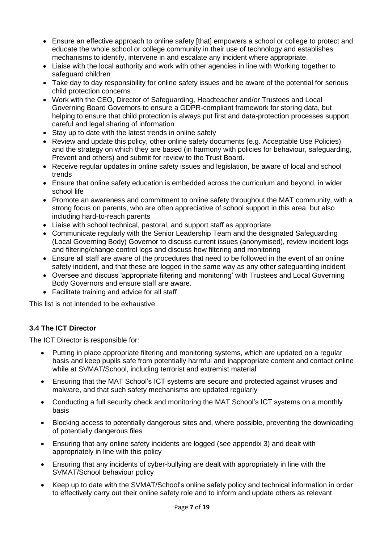- Ensure an effective approach to online safety [that] empowers a school or college to protect and educate the whole school or college community in their use of technology and establishes mechanisms to identify, intervene in and escalate any incident where appropriate.
- Liaise with the local authority and work with other agencies in line with Working together to safeguard children
- Take day to day responsibility for online safety issues and be aware of the potential for serious child protection concerns
- Work with the CEO, Director of Safeguarding, Headteacher and/or Trustees and Local Governing Board Governors to ensure a GDPR-compliant framework for storing data, but helping to ensure that child protection is always put first and data-protection processes support careful and legal sharing of information
- Stay up to date with the latest trends in online safety
- Review and update this policy, other online safety documents (e.g. Acceptable Use Policies) and the strategy on which they are based (in harmony with policies for behaviour, safeguarding, Prevent and others) and submit for review to the Trust Board.
- Receive regular updates in online safety issues and legislation, be aware of local and school trends
- Ensure that online safety education is embedded across the curriculum and beyond, in wider school life
- Promote an awareness and commitment to online safety throughout the MAT community, with a strong focus on parents, who are often appreciative of school support in this area, but also including hard-to-reach parents
- Liaise with school technical, pastoral, and support staff as appropriate
- Communicate regularly with the Senior Leadership Team and the designated Safeguarding (Local Governing Body) Governor to discuss current issues (anonymised), review incident logs and filtering/change control logs and discuss how filtering and monitoring
- Ensure all staff are aware of the procedures that need to be followed in the event of an online safety incident, and that these are logged in the same way as any other safeguarding incident
- Oversee and discuss 'appropriate filtering and monitoring' with Trustees and Local Governing Body Governors and ensure staff are aware.
- Facilitate training and advice for all staff

This list is not intended to be exhaustive.

#### <span id="page-6-0"></span>**3.4 The ICT Director**

The ICT Director is responsible for:

- Putting in place appropriate filtering and monitoring systems, which are updated on a regular basis and keep pupils safe from potentially harmful and inappropriate content and contact online while at SVMAT/School, including terrorist and extremist material
- Ensuring that the MAT School's ICT systems are secure and protected against viruses and malware, and that such safety mechanisms are updated regularly
- Conducting a full security check and monitoring the MAT School's ICT systems on a monthly basis
- Blocking access to potentially dangerous sites and, where possible, preventing the downloading of potentially dangerous files
- Ensuring that any online safety incidents are logged (see appendix 3) and dealt with appropriately in line with this policy
- Ensuring that any incidents of cyber-bullying are dealt with appropriately in line with the SVMAT/School behaviour policy
- Keep up to date with the SVMAT/School's online safety policy and technical information in order to effectively carry out their online safety role and to inform and update others as relevant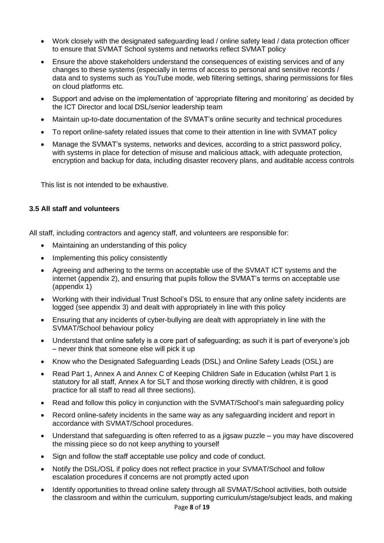- Work closely with the designated safeguarding lead / online safety lead / data protection officer to ensure that SVMAT School systems and networks reflect SVMAT policy
- Ensure the above stakeholders understand the consequences of existing services and of any changes to these systems (especially in terms of access to personal and sensitive records / data and to systems such as YouTube mode, web filtering settings, sharing permissions for files on cloud platforms etc.
- Support and advise on the implementation of 'appropriate filtering and monitoring' as decided by the ICT Director and local DSL/senior leadership team
- Maintain up-to-date documentation of the SVMAT's online security and technical procedures
- To report online-safety related issues that come to their attention in line with SVMAT policy
- Manage the SVMAT's systems, networks and devices, according to a strict password policy, with systems in place for detection of misuse and malicious attack, with adequate protection, encryption and backup for data, including disaster recovery plans, and auditable access controls

This list is not intended to be exhaustive.

# <span id="page-7-0"></span>**3.5 All staff and volunteers**

All staff, including contractors and agency staff, and volunteers are responsible for:

- Maintaining an understanding of this policy
- Implementing this policy consistently
- Agreeing and adhering to the terms on acceptable use of the SVMAT ICT systems and the internet (appendix 2), and ensuring that pupils follow the SVMAT's terms on acceptable use (appendix 1)
- Working with their individual Trust School's DSL to ensure that any online safety incidents are logged (see appendix 3) and dealt with appropriately in line with this policy
- Ensuring that any incidents of cyber-bullying are dealt with appropriately in line with the SVMAT/School behaviour policy
- Understand that online safety is a core part of safeguarding; as such it is part of everyone's job – never think that someone else will pick it up
- Know who the Designated Safeguarding Leads (DSL) and Online Safety Leads (OSL) are
- Read Part 1, Annex A and Annex C of Keeping Children Safe in Education (whilst Part 1 is statutory for all staff, Annex A for SLT and those working directly with children, it is good practice for all staff to read all three sections).
- Read and follow this policy in conjunction with the SVMAT/School's main safeguarding policy
- Record online-safety incidents in the same way as any safeguarding incident and report in accordance with SVMAT/School procedures.
- Understand that safeguarding is often referred to as a jigsaw puzzle you may have discovered the missing piece so do not keep anything to yourself
- Sign and follow the staff acceptable use policy and code of conduct.
- Notify the DSL/OSL if policy does not reflect practice in your SVMAT/School and follow escalation procedures if concerns are not promptly acted upon
- Identify opportunities to thread online safety through all SVMAT/School activities, both outside the classroom and within the curriculum, supporting curriculum/stage/subject leads, and making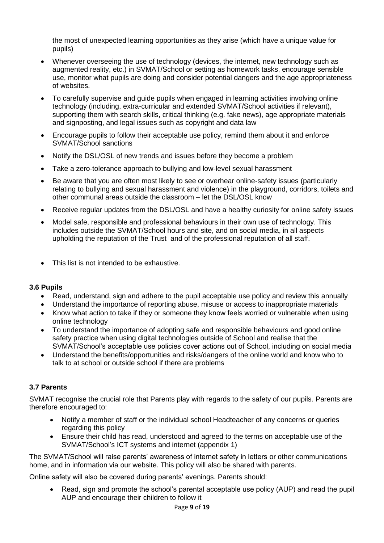the most of unexpected learning opportunities as they arise (which have a unique value for pupils)

- Whenever overseeing the use of technology (devices, the internet, new technology such as augmented reality, etc.) in SVMAT/School or setting as homework tasks, encourage sensible use, monitor what pupils are doing and consider potential dangers and the age appropriateness of websites.
- To carefully supervise and guide pupils when engaged in learning activities involving online technology (including, extra-curricular and extended SVMAT/School activities if relevant), supporting them with search skills, critical thinking (e.g. fake news), age appropriate materials and signposting, and legal issues such as copyright and data law
- Encourage pupils to follow their acceptable use policy, remind them about it and enforce SVMAT/School sanctions
- Notify the DSL/OSL of new trends and issues before they become a problem
- Take a zero-tolerance approach to bullying and low-level sexual harassment
- Be aware that you are often most likely to see or overhear online-safety issues (particularly relating to bullying and sexual harassment and violence) in the playground, corridors, toilets and other communal areas outside the classroom – let the DSL/OSL know
- Receive regular updates from the DSL/OSL and have a healthy curiosity for online safety issues
- Model safe, responsible and professional behaviours in their own use of technology. This includes outside the SVMAT/School hours and site, and on social media, in all aspects upholding the reputation of the Trust and of the professional reputation of all staff.
- This list is not intended to be exhaustive.

#### <span id="page-8-0"></span>**3.6 Pupils**

- Read, understand, sign and adhere to the pupil acceptable use policy and review this annually
- Understand the importance of reporting abuse, misuse or access to inappropriate materials
- Know what action to take if they or someone they know feels worried or vulnerable when using online technology
- To understand the importance of adopting safe and responsible behaviours and good online safety practice when using digital technologies outside of School and realise that the SVMAT/School's acceptable use policies cover actions out of School, including on social media
- Understand the benefits/opportunities and risks/dangers of the online world and know who to talk to at school or outside school if there are problems

#### <span id="page-8-1"></span>**3.7 Parents**

SVMAT recognise the crucial role that Parents play with regards to the safety of our pupils. Parents are therefore encouraged to:

- Notify a member of staff or the individual school Headteacher of any concerns or queries regarding this policy
- Ensure their child has read, understood and agreed to the terms on acceptable use of the SVMAT/School's ICT systems and internet (appendix 1)

The SVMAT/School will raise parents' awareness of internet safety in letters or other communications home, and in information via our website. This policy will also be shared with parents.

Online safety will also be covered during parents' evenings. Parents should:

• Read, sign and promote the school's parental acceptable use policy (AUP) and read the pupil AUP and encourage their children to follow it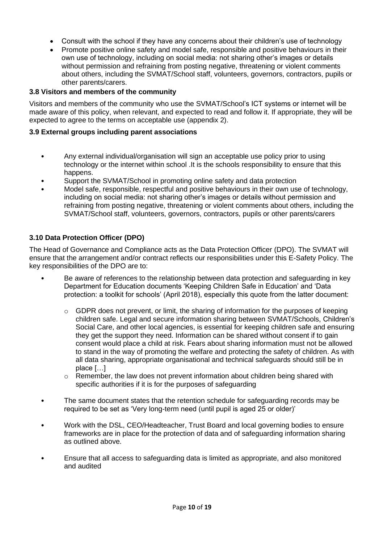- Consult with the school if they have any concerns about their children's use of technology
- Promote positive online safety and model safe, responsible and positive behaviours in their own use of technology, including on social media: not sharing other's images or details without permission and refraining from posting negative, threatening or violent comments about others, including the SVMAT/School staff, volunteers, governors, contractors, pupils or other parents/carers.

#### <span id="page-9-0"></span>**3.8 Visitors and members of the community**

Visitors and members of the community who use the SVMAT/School's ICT systems or internet will be made aware of this policy, when relevant, and expected to read and follow it. If appropriate, they will be expected to agree to the terms on acceptable use (appendix 2).

#### <span id="page-9-1"></span>**3.9 External groups including parent associations**

- Any external individual/organisation will sign an acceptable use policy prior to using technology or the internet within school .It is the schools responsibility to ensure that this happens.
- Support the SVMAT/School in promoting online safety and data protection
- Model safe, responsible, respectful and positive behaviours in their own use of technology, including on social media: not sharing other's images or details without permission and refraining from posting negative, threatening or violent comments about others, including the SVMAT/School staff, volunteers, governors, contractors, pupils or other parents/carers

#### <span id="page-9-2"></span>**3.10 Data Protection Officer (DPO)**

The Head of Governance and Compliance acts as the Data Protection Officer (DPO). The SVMAT will ensure that the arrangement and/or contract reflects our responsibilities under this E-Safety Policy. The key responsibilities of the DPO are to:

- Be aware of references to the relationship between data protection and safeguarding in key Department for Education documents 'Keeping Children Safe in Education' and 'Data protection: a toolkit for schools' (April 2018), especially this quote from the latter document:
	- $\circ$  GDPR does not prevent, or limit, the sharing of information for the purposes of keeping children safe. Legal and secure information sharing between SVMAT/Schools, Children's Social Care, and other local agencies, is essential for keeping children safe and ensuring they get the support they need. Information can be shared without consent if to gain consent would place a child at risk. Fears about sharing information must not be allowed to stand in the way of promoting the welfare and protecting the safety of children. As with all data sharing, appropriate organisational and technical safeguards should still be in place […]
	- $\circ$  Remember, the law does not prevent information about children being shared with specific authorities if it is for the purposes of safeguarding
- The same document states that the retention schedule for safeguarding records may be required to be set as 'Very long-term need (until pupil is aged 25 or older)'
- Work with the DSL, CEO/Headteacher, Trust Board and local governing bodies to ensure frameworks are in place for the protection of data and of safeguarding information sharing as outlined above.
- Ensure that all access to safeguarding data is limited as appropriate, and also monitored and audited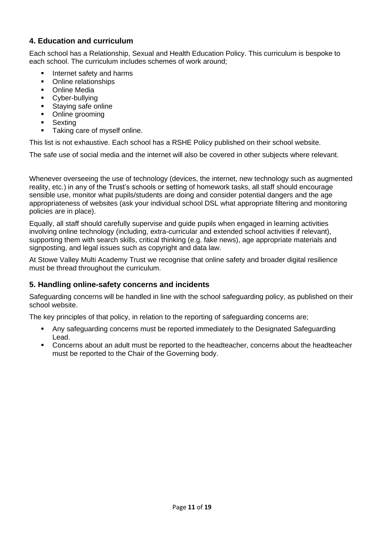# <span id="page-10-0"></span>**4. Education and curriculum**

Each school has a Relationship, Sexual and Health Education Policy. This curriculum is bespoke to each school. The curriculum includes schemes of work around;

- **·** Internet safety and harms
- Online relationships
- Online Media
- Cyber-bullying
- Staying safe online
- Online grooming
- Sexting
- Taking care of myself online.

This list is not exhaustive. Each school has a RSHE Policy published on their school website.

The safe use of social media and the internet will also be covered in other subjects where relevant.

Whenever overseeing the use of technology (devices, the internet, new technology such as augmented reality, etc.) in any of the Trust's schools or setting of homework tasks, all staff should encourage sensible use, monitor what pupils/students are doing and consider potential dangers and the age appropriateness of websites (ask your individual school DSL what appropriate filtering and monitoring policies are in place).

Equally, all staff should carefully supervise and guide pupils when engaged in learning activities involving online technology (including, extra-curricular and extended school activities if relevant), supporting them with search skills, critical thinking (e.g. fake news), age appropriate materials and signposting, and legal issues such as copyright and data law.

At Stowe Valley Multi Academy Trust we recognise that online safety and broader digital resilience must be thread throughout the curriculum.

#### <span id="page-10-1"></span>**5. Handling online-safety concerns and incidents**

Safeguarding concerns will be handled in line with the school safeguarding policy, as published on their school website.

The key principles of that policy, in relation to the reporting of safeguarding concerns are;

- Any safeguarding concerns must be reported immediately to the Designated Safeguarding Lead.
- Concerns about an adult must be reported to the headteacher, concerns about the headteacher must be reported to the Chair of the Governing body.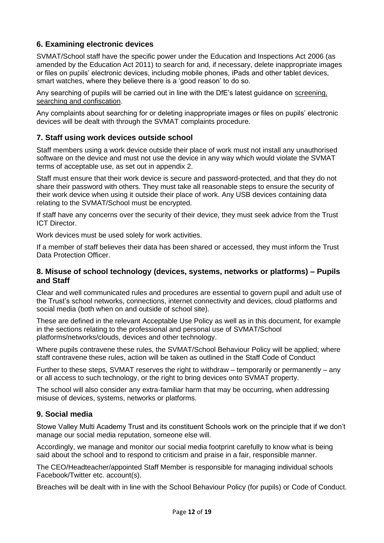# <span id="page-11-0"></span>**6. Examining electronic devices**

SVMAT/School staff have the specific power under the Education and Inspections Act 2006 (as amended by the Education Act 2011) to search for and, if necessary, delete inappropriate images or files on pupils' electronic devices, including mobile phones, iPads and other tablet devices, smart watches, where they believe there is a 'good reason' to do so.

Any searching of pupils will be carried out in line with the DfE's latest guidance on [screening,](https://www.gov.uk/government/publications/searching-screening-and-confiscation)  [searching and confiscation.](https://www.gov.uk/government/publications/searching-screening-and-confiscation)

Any complaints about searching for or deleting inappropriate images or files on pupils' electronic devices will be dealt with through the SVMAT complaints procedure.

#### <span id="page-11-1"></span>**7. Staff using work devices outside school**

Staff members using a work device outside their place of work must not install any unauthorised software on the device and must not use the device in any way which would violate the SVMAT terms of acceptable use, as set out in appendix 2.

Staff must ensure that their work device is secure and password-protected, and that they do not share their password with others. They must take all reasonable steps to ensure the security of their work device when using it outside their place of work. Any USB devices containing data relating to the SVMAT/School must be encrypted.

If staff have any concerns over the security of their device, they must seek advice from the Trust ICT Director.

Work devices must be used solely for work activities.

If a member of staff believes their data has been shared or accessed, they must inform the Trust Data Protection Officer.

#### <span id="page-11-2"></span>**8. Misuse of school technology (devices, systems, networks or platforms) – Pupils and Staff**

Clear and well communicated rules and procedures are essential to govern pupil and adult use of the Trust's school networks, connections, internet connectivity and devices, cloud platforms and social media (both when on and outside of school site).

These are defined in the relevant Acceptable Use Policy as well as in this document, for example in the sections relating to the professional and personal use of SVMAT/School platforms/networks/clouds, devices and other technology.

Where pupils contravene these rules, the SVMAT/School Behaviour Policy will be applied; where staff contravene these rules, action will be taken as outlined in the Staff Code of Conduct

Further to these steps, SVMAT reserves the right to withdraw – temporarily or permanently – any or all access to such technology, or the right to bring devices onto SVMAT property.

The school will also consider any extra-familiar harm that may be occurring, when addressing misuse of devices, systems, networks or platforms.

#### <span id="page-11-3"></span>**9. Social media**

Stowe Valley Multi Academy Trust and its constituent Schools work on the principle that if we don't manage our social media reputation, someone else will.

Accordingly, we manage and monitor our social media footprint carefully to know what is being said about the school and to respond to criticism and praise in a fair, responsible manner.

The CEO/Headteacher/appointed Staff Member is responsible for managing individual schools Facebook/Twitter etc. account(s).

Breaches will be dealt with in line with the School Behaviour Policy (for pupils) or Code of Conduct.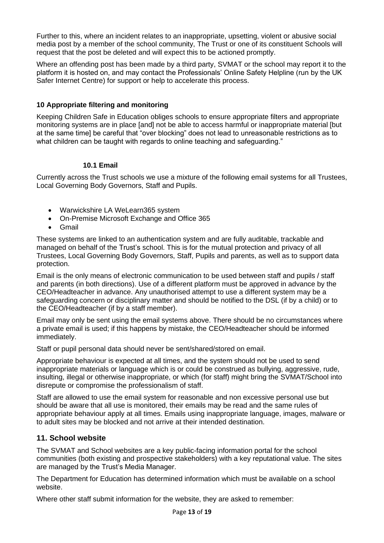Further to this, where an incident relates to an inappropriate, upsetting, violent or abusive social media post by a member of the school community, The Trust or one of its constituent Schools will request that the post be deleted and will expect this to be actioned promptly.

Where an offending post has been made by a third party, SVMAT or the school may report it to the platform it is hosted on, and may contact the Professionals' Online Safety Helpline (run by the UK Safer Internet Centre) for support or help to accelerate this process.

### <span id="page-12-0"></span>**10 Appropriate filtering and monitoring**

Keeping Children Safe in Education obliges schools to ensure appropriate filters and appropriate monitoring systems are in place [and] not be able to access harmful or inappropriate material [but at the same time] be careful that "over blocking" does not lead to unreasonable restrictions as to what children can be taught with regards to online teaching and safeguarding."

#### <span id="page-12-1"></span>**10.1 Email**

Currently across the Trust schools we use a mixture of the following email systems for all Trustees, Local Governing Body Governors, Staff and Pupils.

- Warwickshire LA WeLearn365 system
- On-Premise Microsoft Exchange and Office 365
- Gmail

These systems are linked to an authentication system and are fully auditable, trackable and managed on behalf of the Trust's school. This is for the mutual protection and privacy of all Trustees, Local Governing Body Governors, Staff, Pupils and parents, as well as to support data protection.

Email is the only means of electronic communication to be used between staff and pupils / staff and parents (in both directions). Use of a different platform must be approved in advance by the CEO/Headteacher in advance. Any unauthorised attempt to use a different system may be a safeguarding concern or disciplinary matter and should be notified to the DSL (if by a child) or to the CEO/Headteacher (if by a staff member).

Email may only be sent using the email systems above. There should be no circumstances where a private email is used; if this happens by mistake, the CEO/Headteacher should be informed immediately.

Staff or pupil personal data should never be sent/shared/stored on email.

Appropriate behaviour is expected at all times, and the system should not be used to send inappropriate materials or language which is or could be construed as bullying, aggressive, rude, insulting, illegal or otherwise inappropriate, or which (for staff) might bring the SVMAT/School into disrepute or compromise the professionalism of staff.

Staff are allowed to use the email system for reasonable and non excessive personal use but should be aware that all use is monitored, their emails may be read and the same rules of appropriate behaviour apply at all times. Emails using inappropriate language, images, malware or to adult sites may be blocked and not arrive at their intended destination.

# <span id="page-12-2"></span>**11. School website**

The SVMAT and School websites are a key public-facing information portal for the school communities (both existing and prospective stakeholders) with a key reputational value. The sites are managed by the Trust's Media Manager.

The Department for Education has determined information which must be available on a school website.

Where other staff submit information for the website, they are asked to remember: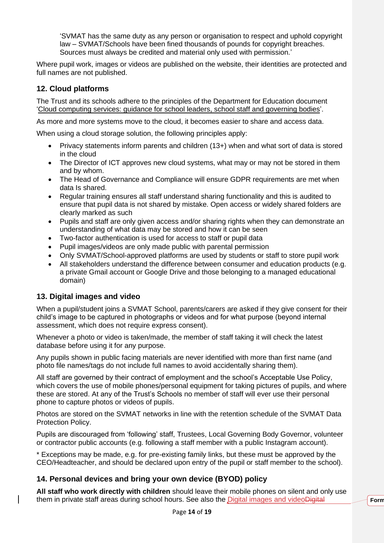'SVMAT has the same duty as any person or organisation to respect and uphold copyright law – SVMAT/Schools have been fined thousands of pounds for copyright breaches. Sources must always be credited and material only used with permission.'

Where pupil work, images or videos are published on the website, their identities are protected and full names are not published.

# <span id="page-13-0"></span>**12. Cloud platforms**

The Trust and its schools adhere to the principles of the Department for Education document ['Cloud computing services: guidance for school leaders, school staff and governing bodies'](https://www.gov.uk/government/publications/cloud-computing-how-schools-can-move-services-to-the-cloud).

As more and more systems move to the cloud, it becomes easier to share and access data.

When using a cloud storage solution, the following principles apply:

- Privacy statements inform parents and children (13+) when and what sort of data is stored in the cloud
- The Director of ICT approves new cloud systems, what may or may not be stored in them and by whom.
- The Head of Governance and Compliance will ensure GDPR requirements are met when data Is shared.
- Regular training ensures all staff understand sharing functionality and this is audited to ensure that pupil data is not shared by mistake. Open access or widely shared folders are clearly marked as such
- Pupils and staff are only given access and/or sharing rights when they can demonstrate an understanding of what data may be stored and how it can be seen
- Two-factor authentication is used for access to staff or pupil data
- Pupil images/videos are only made public with parental permission
- Only SVMAT/School-approved platforms are used by students or staff to store pupil work
- All stakeholders understand the difference between consumer and education products (e.g. a private Gmail account or Google Drive and those belonging to a managed educational domain)

#### <span id="page-13-3"></span><span id="page-13-1"></span>**13. Digital images and video**

When a pupil/student joins a SVMAT School, parents/carers are asked if they give consent for their child's image to be captured in photographs or videos and for what purpose (beyond internal assessment, which does not require express consent).

Whenever a photo or video is taken/made, the member of staff taking it will check the latest database before using it for any purpose.

Any pupils shown in public facing materials are never identified with more than first name (and photo file names/tags do not include full names to avoid accidentally sharing them).

All staff are governed by their contract of employment and the school's Acceptable Use Policy, which covers the use of mobile phones/personal equipment for taking pictures of pupils, and where these are stored. At any of the Trust's Schools no member of staff will ever use their personal phone to capture photos or videos of pupils.

Photos are stored on the SVMAT networks in line with the retention schedule of the SVMAT Data Protection Policy.

Pupils are discouraged from 'following' staff, Trustees, Local Governing Body Governor, volunteer or contractor public accounts (e.g. following a staff member with a public Instagram account).

\* Exceptions may be made, e.g. for pre-existing family links, but these must be approved by the CEO/Headteacher, and should be declared upon entry of the pupil or staff member to the school).

# <span id="page-13-2"></span>**14. Personal devices and bring your own device (BYOD) policy**

**All staff who work directly with children** should leave their mobile phones on silent and only use them in private staff areas during school hours. See also the Digital images and videoDigital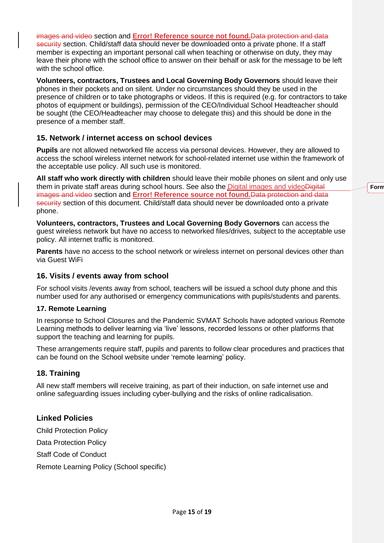[images and video](#page-13-3) section and **Error! Reference source not found.**Data protection and data security section. Child/staff data should never be downloaded onto a private phone. If a staff member is expecting an important personal call when teaching or otherwise on duty, they may leave their phone with the school office to answer on their behalf or ask for the message to be left with the school office.

**Volunteers, contractors, Trustees and Local Governing Body Governors** should leave their phones in their pockets and on silent. Under no circumstances should they be used in the presence of children or to take photographs or videos. If this is required (e.g. for contractors to take photos of equipment or buildings), permission of the CEO/Individual School Headteacher should be sought (the CEO/Headteacher may choose to delegate this) and this should be done in the presence of a member staff.

# <span id="page-14-0"></span>**15. Network / internet access on school devices**

**Pupils** are not allowed networked file access via personal devices. However, they are allowed to access the school wireless internet network for school-related internet use within the framework of the acceptable use policy. All such use is monitored.

**All staff who work directly with children** should leave their mobile phones on silent and only use them in private staff areas during school hours. See also the Digital images and videoDigital [images and video](#page-13-3) section and **Error! Reference source not found.**Data protection and data security section of this document. Child/staff data should never be downloaded onto a private phone.

**Volunteers, contractors, Trustees and Local Governing Body Governors** can access the guest wireless network but have no access to networked files/drives, subject to the acceptable use policy. All internet traffic is monitored.

**Parents** have no access to the school network or wireless internet on personal devices other than via Guest WiFi

#### <span id="page-14-1"></span>**16. Visits / events away from school**

For school visits /events away from school, teachers will be issued a school duty phone and this number used for any authorised or emergency communications with pupils/students and parents.

#### **17. Remote Learning**

In response to School Closures and the Pandemic SVMAT Schools have adopted various Remote Learning methods to deliver learning via 'live' lessons, recorded lessons or other platforms that support the teaching and learning for pupils.

These arrangements require staff, pupils and parents to follow clear procedures and practices that can be found on the School website under 'remote learning' policy.

#### <span id="page-14-2"></span>**18. Training**

All new staff members will receive training, as part of their induction, on safe internet use and online safeguarding issues including cyber-bullying and the risks of online radicalisation.

#### **Linked Policies**

Child Protection Policy Data Protection Policy Staff Code of Conduct

Remote Learning Policy (School specific)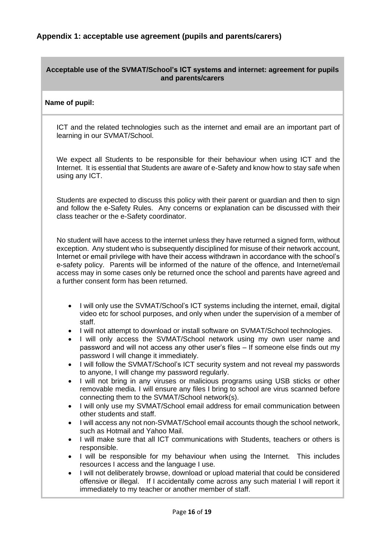#### <span id="page-15-0"></span>**Acceptable use of the SVMAT/School's ICT systems and internet: agreement for pupils and parents/carers**

#### **Name of pupil:**

ICT and the related technologies such as the internet and email are an important part of learning in our SVMAT/School.

We expect all Students to be responsible for their behaviour when using ICT and the Internet. It is essential that Students are aware of e-Safety and know how to stay safe when using any ICT.

Students are expected to discuss this policy with their parent or guardian and then to sign and follow the e-Safety Rules. Any concerns or explanation can be discussed with their class teacher or the e-Safety coordinator.

No student will have access to the internet unless they have returned a signed form, without exception. Any student who is subsequently disciplined for misuse of their network account, Internet or email privilege with have their access withdrawn in accordance with the school's e-safety policy. Parents will be informed of the nature of the offence, and Internet/email access may in some cases only be returned once the school and parents have agreed and a further consent form has been returned.

- I will only use the SVMAT/School's ICT systems including the internet, email, digital video etc for school purposes, and only when under the supervision of a member of staff.
- I will not attempt to download or install software on SVMAT/School technologies.
- I will only access the SVMAT/School network using my own user name and password and will not access any other user's files – If someone else finds out my password I will change it immediately.
- I will follow the SVMAT/School's ICT security system and not reveal my passwords to anyone, I will change my password regularly.
- I will not bring in any viruses or malicious programs using USB sticks or other removable media. I will ensure any files I bring to school are virus scanned before connecting them to the SVMAT/School network(s).
- I will only use my SVMAT/School email address for email communication between other students and staff.
- I will access any not non-SVMAT/School email accounts though the school network, such as Hotmail and Yahoo Mail.
- I will make sure that all ICT communications with Students, teachers or others is responsible.
- I will be responsible for my behaviour when using the Internet. This includes resources I access and the language I use.
- I will not deliberately browse, download or upload material that could be considered offensive or illegal. If I accidentally come across any such material I will report it immediately to my teacher or another member of staff.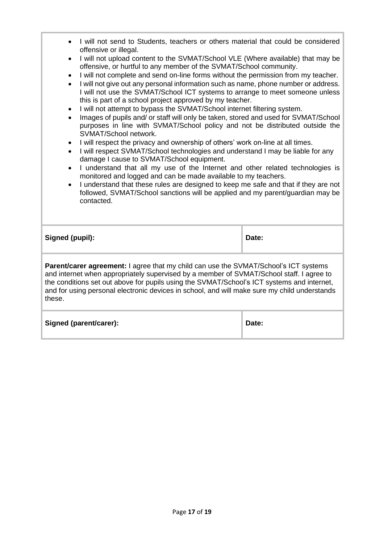| I will not send to Students, teachers or others material that could be considered<br>offensive or illegal.                                                                                                                                                                                                                                                                                                                                                                                                                                                                                                                                                                                                                                                                                                                                                                                                                                                                                                                                                                                                                                                                                                                                                                                                                                                                                                                                    |       |  |  |
|-----------------------------------------------------------------------------------------------------------------------------------------------------------------------------------------------------------------------------------------------------------------------------------------------------------------------------------------------------------------------------------------------------------------------------------------------------------------------------------------------------------------------------------------------------------------------------------------------------------------------------------------------------------------------------------------------------------------------------------------------------------------------------------------------------------------------------------------------------------------------------------------------------------------------------------------------------------------------------------------------------------------------------------------------------------------------------------------------------------------------------------------------------------------------------------------------------------------------------------------------------------------------------------------------------------------------------------------------------------------------------------------------------------------------------------------------|-------|--|--|
| I will not upload content to the SVMAT/School VLE (Where available) that may be<br>$\bullet$<br>offensive, or hurtful to any member of the SVMAT/School community.<br>I will not complete and send on-line forms without the permission from my teacher.<br>$\bullet$<br>I will not give out any personal information such as name, phone number or address.<br>$\bullet$<br>I will not use the SVMAT/School ICT systems to arrange to meet someone unless<br>this is part of a school project approved by my teacher.<br>I will not attempt to bypass the SVMAT/School internet filtering system.<br>$\bullet$<br>Images of pupils and/ or staff will only be taken, stored and used for SVMAT/School<br>$\bullet$<br>purposes in line with SVMAT/School policy and not be distributed outside the<br>SVMAT/School network.<br>I will respect the privacy and ownership of others' work on-line at all times.<br>$\bullet$<br>I will respect SVMAT/School technologies and understand I may be liable for any<br>$\bullet$<br>damage I cause to SVMAT/School equipment.<br>I understand that all my use of the Internet and other related technologies is<br>$\bullet$<br>monitored and logged and can be made available to my teachers.<br>I understand that these rules are designed to keep me safe and that if they are not<br>$\bullet$<br>followed, SVMAT/School sanctions will be applied and my parent/guardian may be<br>contacted. |       |  |  |
| Signed (pupil):                                                                                                                                                                                                                                                                                                                                                                                                                                                                                                                                                                                                                                                                                                                                                                                                                                                                                                                                                                                                                                                                                                                                                                                                                                                                                                                                                                                                                               | Date: |  |  |
| Parent/carer agreement: I agree that my child can use the SVMAT/School's ICT systems<br>and internet when appropriately supervised by a member of SVMAT/School staff. I agree to<br>the conditions set out above for pupils using the SVMAT/School's ICT systems and internet,<br>and for using personal electronic devices in school, and will make sure my child understands<br>these.                                                                                                                                                                                                                                                                                                                                                                                                                                                                                                                                                                                                                                                                                                                                                                                                                                                                                                                                                                                                                                                      |       |  |  |
| Signed (parent/carer):                                                                                                                                                                                                                                                                                                                                                                                                                                                                                                                                                                                                                                                                                                                                                                                                                                                                                                                                                                                                                                                                                                                                                                                                                                                                                                                                                                                                                        | Date: |  |  |
|                                                                                                                                                                                                                                                                                                                                                                                                                                                                                                                                                                                                                                                                                                                                                                                                                                                                                                                                                                                                                                                                                                                                                                                                                                                                                                                                                                                                                                               |       |  |  |

ī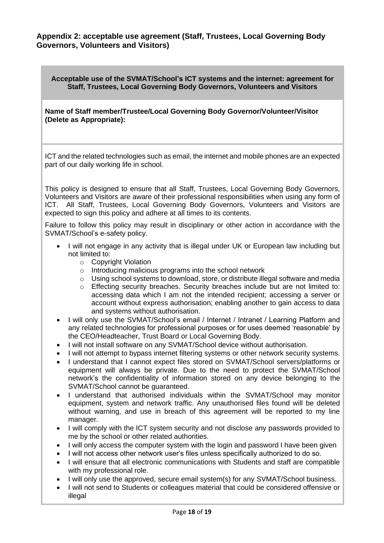#### <span id="page-17-0"></span>**Appendix 2: acceptable use agreement (Staff, Trustees, Local Governing Body Governors, Volunteers and Visitors)**

**Acceptable use of the SVMAT/School's ICT systems and the internet: agreement for Staff, Trustees, Local Governing Body Governors, Volunteers and Visitors**

**Name of Staff member/Trustee/Local Governing Body Governor/Volunteer/Visitor (Delete as Appropriate):** 

ICT and the related technologies such as email, the internet and mobile phones are an expected part of our daily working life in school.

This policy is designed to ensure that all Staff, Trustees, Local Governing Body Governors, Volunteers and Visitors are aware of their professional responsibilities when using any form of ICT. All Staff, Trustees, Local Governing Body Governors, Volunteers and Visitors are expected to sign this policy and adhere at all times to its contents.

Failure to follow this policy may result in disciplinary or other action in accordance with the SVMAT/School's e-safety policy.

- I will not engage in any activity that is illegal under UK or European law including but not limited to:
	- o Copyright Violation
	- o Introducing malicious programs into the school network
	- $\circ$  Using school systems to download, store, or distribute illegal software and media
	- $\circ$  Effecting security breaches. Security breaches include but are not limited to: accessing data which I am not the intended recipient; accessing a server or account without express authorisation; enabling another to gain access to data and systems without authorisation.
- I will only use the SVMAT/School's email / Internet / Intranet / Learning Platform and any related technologies for professional purposes or for uses deemed 'reasonable' by the CEO/Headteacher, Trust Board or Local Governing Body.
- I will not install software on any SVMAT/School device without authorisation.
- I will not attempt to bypass internet filtering systems or other network security systems.
- I understand that I cannot expect files stored on SVMAT/School servers/platforms or equipment will always be private. Due to the need to protect the SVMAT/School network's the confidentiality of information stored on any device belonging to the SVMAT/School cannot be guaranteed.
- I understand that authorised individuals within the SVMAT/School may monitor equipment, system and network traffic. Any unauthorised files found will be deleted without warning, and use in breach of this agreement will be reported to my line manager.
- I will comply with the ICT system security and not disclose any passwords provided to me by the school or other related authorities.
- I will only access the computer system with the login and password I have been given
- I will not access other network user's files unless specifically authorized to do so.
- I will ensure that all electronic communications with Students and staff are compatible with my professional role.
- I will only use the approved, secure email system(s) for any SVMAT/School business.
- I will not send to Students or colleagues material that could be considered offensive or illegal